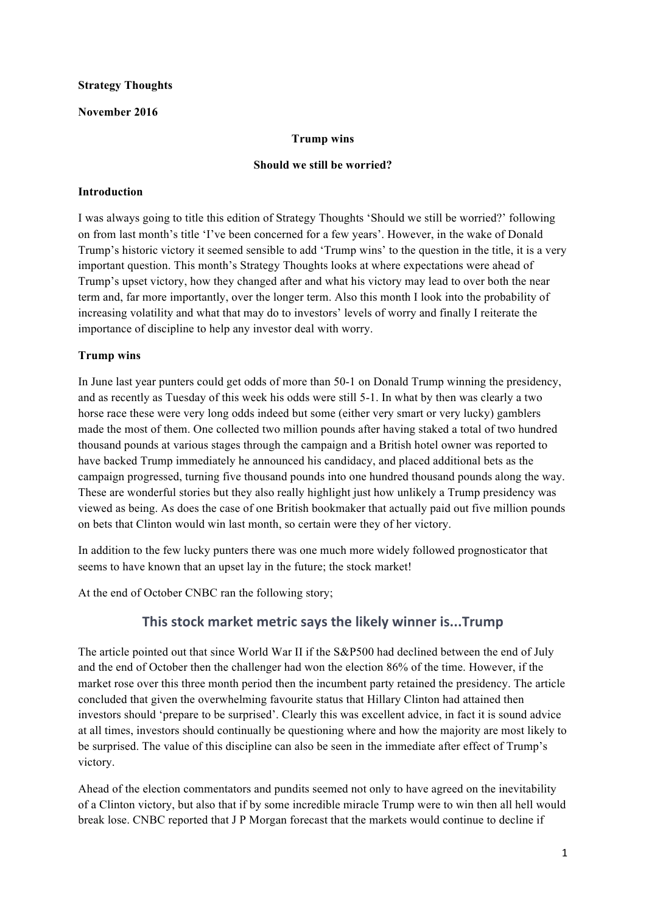## **Strategy Thoughts**

## **November 2016**

## **Trump wins**

#### **Should we still be worried?**

## **Introduction**

I was always going to title this edition of Strategy Thoughts 'Should we still be worried?' following on from last month's title 'I've been concerned for a few years'. However, in the wake of Donald Trump's historic victory it seemed sensible to add 'Trump wins' to the question in the title, it is a very important question. This month's Strategy Thoughts looks at where expectations were ahead of Trump's upset victory, how they changed after and what his victory may lead to over both the near term and, far more importantly, over the longer term. Also this month I look into the probability of increasing volatility and what that may do to investors' levels of worry and finally I reiterate the importance of discipline to help any investor deal with worry.

## **Trump wins**

In June last year punters could get odds of more than 50-1 on Donald Trump winning the presidency, and as recently as Tuesday of this week his odds were still 5-1. In what by then was clearly a two horse race these were very long odds indeed but some (either very smart or very lucky) gamblers made the most of them. One collected two million pounds after having staked a total of two hundred thousand pounds at various stages through the campaign and a British hotel owner was reported to have backed Trump immediately he announced his candidacy, and placed additional bets as the campaign progressed, turning five thousand pounds into one hundred thousand pounds along the way. These are wonderful stories but they also really highlight just how unlikely a Trump presidency was viewed as being. As does the case of one British bookmaker that actually paid out five million pounds on bets that Clinton would win last month, so certain were they of her victory.

In addition to the few lucky punters there was one much more widely followed prognosticator that seems to have known that an upset lay in the future; the stock market!

At the end of October CNBC ran the following story;

# This stock market metric says the likely winner is...Trump

The article pointed out that since World War II if the S&P500 had declined between the end of July and the end of October then the challenger had won the election 86% of the time. However, if the market rose over this three month period then the incumbent party retained the presidency. The article concluded that given the overwhelming favourite status that Hillary Clinton had attained then investors should 'prepare to be surprised'. Clearly this was excellent advice, in fact it is sound advice at all times, investors should continually be questioning where and how the majority are most likely to be surprised. The value of this discipline can also be seen in the immediate after effect of Trump's victory.

Ahead of the election commentators and pundits seemed not only to have agreed on the inevitability of a Clinton victory, but also that if by some incredible miracle Trump were to win then all hell would break lose. CNBC reported that J P Morgan forecast that the markets would continue to decline if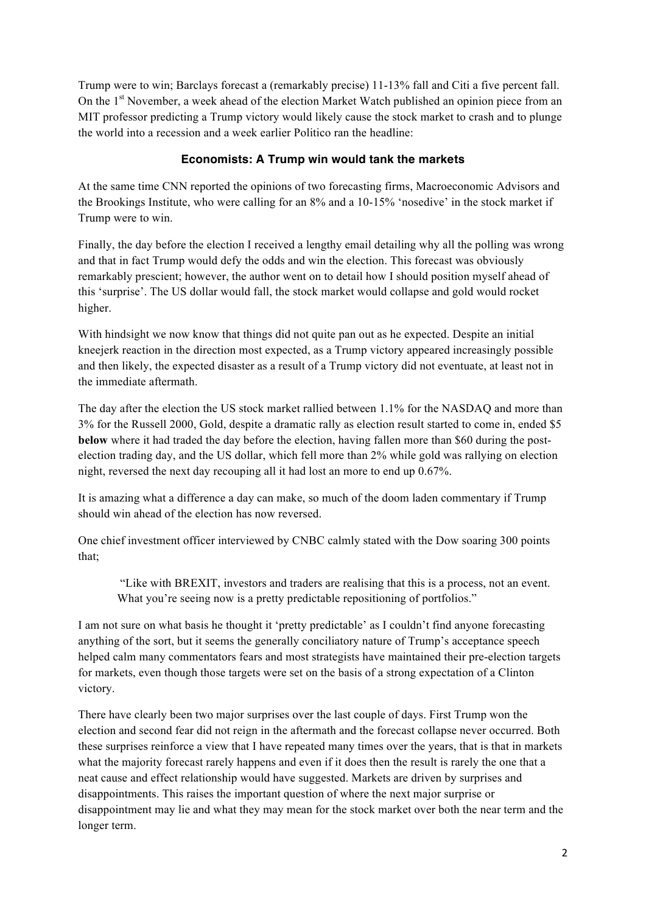Trump were to win; Barclays forecast a (remarkably precise) 11-13% fall and Citi a five percent fall. On the 1<sup>st</sup> November, a week ahead of the election Market Watch published an opinion piece from an MIT professor predicting a Trump victory would likely cause the stock market to crash and to plunge the world into a recession and a week earlier Politico ran the headline:

## **Economists: A Trump win would tank the markets**

At the same time CNN reported the opinions of two forecasting firms, Macroeconomic Advisors and the Brookings Institute, who were calling for an 8% and a 10-15% 'nosedive' in the stock market if Trump were to win.

Finally, the day before the election I received a lengthy email detailing why all the polling was wrong and that in fact Trump would defy the odds and win the election. This forecast was obviously remarkably prescient; however, the author went on to detail how I should position myself ahead of this 'surprise'. The US dollar would fall, the stock market would collapse and gold would rocket higher.

With hindsight we now know that things did not quite pan out as he expected. Despite an initial kneejerk reaction in the direction most expected, as a Trump victory appeared increasingly possible and then likely, the expected disaster as a result of a Trump victory did not eventuate, at least not in the immediate aftermath.

The day after the election the US stock market rallied between 1.1% for the NASDAQ and more than 3% for the Russell 2000, Gold, despite a dramatic rally as election result started to come in, ended \$5 **below** where it had traded the day before the election, having fallen more than \$60 during the postelection trading day, and the US dollar, which fell more than 2% while gold was rallying on election night, reversed the next day recouping all it had lost an more to end up 0.67%.

It is amazing what a difference a day can make, so much of the doom laden commentary if Trump should win ahead of the election has now reversed.

One chief investment officer interviewed by CNBC calmly stated with the Dow soaring 300 points that;

 "Like with BREXIT, investors and traders are realising that this is a process, not an event. What you're seeing now is a pretty predictable repositioning of portfolios."

I am not sure on what basis he thought it 'pretty predictable' as I couldn't find anyone forecasting anything of the sort, but it seems the generally conciliatory nature of Trump's acceptance speech helped calm many commentators fears and most strategists have maintained their pre-election targets for markets, even though those targets were set on the basis of a strong expectation of a Clinton victory.

There have clearly been two major surprises over the last couple of days. First Trump won the election and second fear did not reign in the aftermath and the forecast collapse never occurred. Both these surprises reinforce a view that I have repeated many times over the years, that is that in markets what the majority forecast rarely happens and even if it does then the result is rarely the one that a neat cause and effect relationship would have suggested. Markets are driven by surprises and disappointments. This raises the important question of where the next major surprise or disappointment may lie and what they may mean for the stock market over both the near term and the longer term.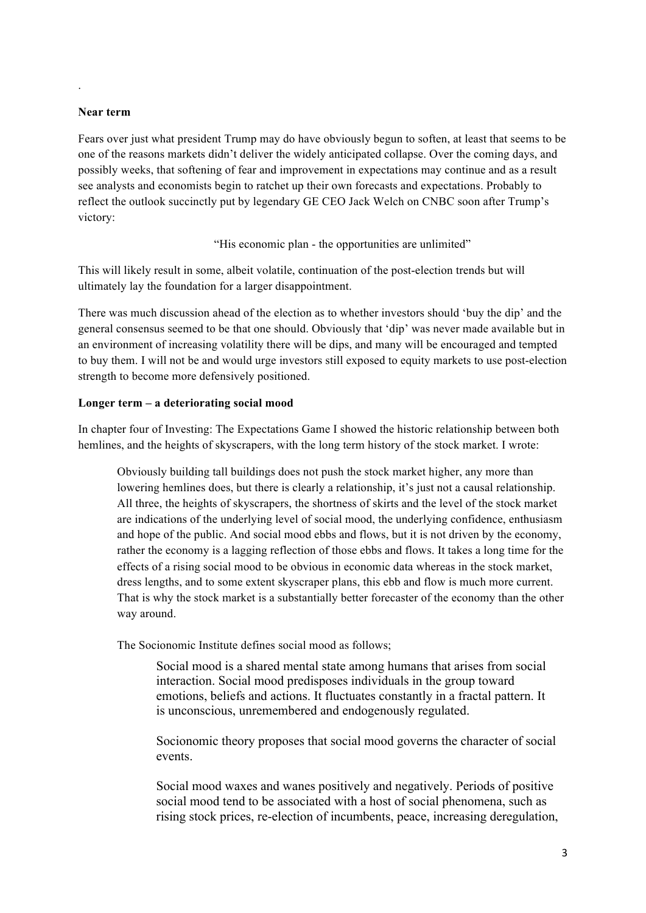#### **Near term**

.

Fears over just what president Trump may do have obviously begun to soften, at least that seems to be one of the reasons markets didn't deliver the widely anticipated collapse. Over the coming days, and possibly weeks, that softening of fear and improvement in expectations may continue and as a result see analysts and economists begin to ratchet up their own forecasts and expectations. Probably to reflect the outlook succinctly put by legendary GE CEO Jack Welch on CNBC soon after Trump's victory:

"His economic plan - the opportunities are unlimited"

This will likely result in some, albeit volatile, continuation of the post-election trends but will ultimately lay the foundation for a larger disappointment.

There was much discussion ahead of the election as to whether investors should 'buy the dip' and the general consensus seemed to be that one should. Obviously that 'dip' was never made available but in an environment of increasing volatility there will be dips, and many will be encouraged and tempted to buy them. I will not be and would urge investors still exposed to equity markets to use post-election strength to become more defensively positioned.

#### **Longer term – a deteriorating social mood**

In chapter four of Investing: The Expectations Game I showed the historic relationship between both hemlines, and the heights of skyscrapers, with the long term history of the stock market. I wrote:

Obviously building tall buildings does not push the stock market higher, any more than lowering hemlines does, but there is clearly a relationship, it's just not a causal relationship. All three, the heights of skyscrapers, the shortness of skirts and the level of the stock market are indications of the underlying level of social mood, the underlying confidence, enthusiasm and hope of the public. And social mood ebbs and flows, but it is not driven by the economy, rather the economy is a lagging reflection of those ebbs and flows. It takes a long time for the effects of a rising social mood to be obvious in economic data whereas in the stock market, dress lengths, and to some extent skyscraper plans, this ebb and flow is much more current. That is why the stock market is a substantially better forecaster of the economy than the other way around.

The Socionomic Institute defines social mood as follows;

Social mood is a shared mental state among humans that arises from social interaction. Social mood predisposes individuals in the group toward emotions, beliefs and actions. It fluctuates constantly in a fractal pattern. It is unconscious, unremembered and endogenously regulated.

Socionomic theory proposes that social mood governs the character of social events.

Social mood waxes and wanes positively and negatively. Periods of positive social mood tend to be associated with a host of social phenomena, such as rising stock prices, re-election of incumbents, peace, increasing deregulation,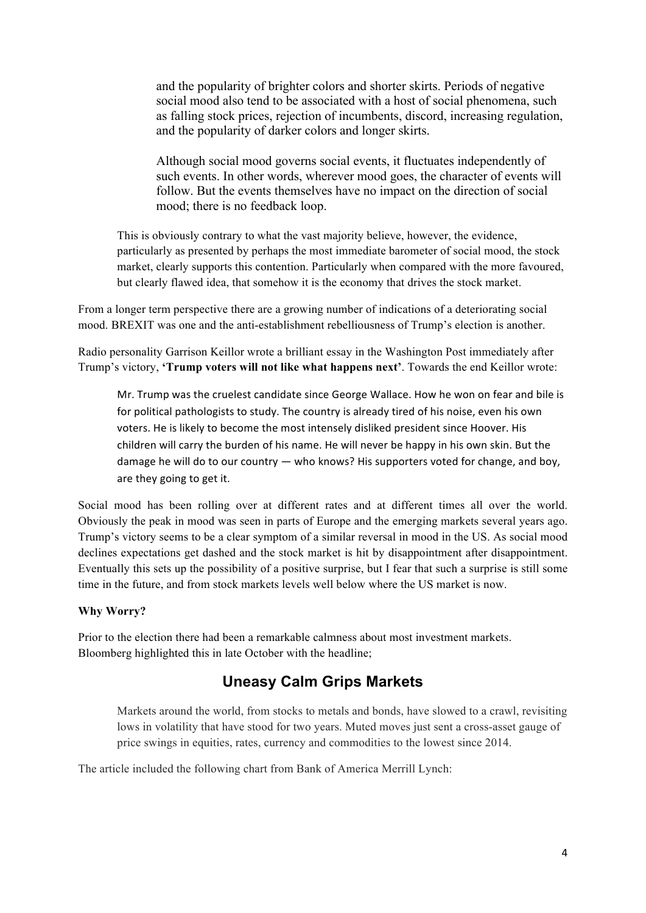and the popularity of brighter colors and shorter skirts. Periods of negative social mood also tend to be associated with a host of social phenomena, such as falling stock prices, rejection of incumbents, discord, increasing regulation, and the popularity of darker colors and longer skirts.

Although social mood governs social events, it fluctuates independently of such events. In other words, wherever mood goes, the character of events will follow. But the events themselves have no impact on the direction of social mood; there is no feedback loop.

This is obviously contrary to what the vast majority believe, however, the evidence, particularly as presented by perhaps the most immediate barometer of social mood, the stock market, clearly supports this contention. Particularly when compared with the more favoured, but clearly flawed idea, that somehow it is the economy that drives the stock market.

From a longer term perspective there are a growing number of indications of a deteriorating social mood. BREXIT was one and the anti-establishment rebelliousness of Trump's election is another.

Radio personality Garrison Keillor wrote a brilliant essay in the Washington Post immediately after Trump's victory, **'Trump voters will not like what happens next'**. Towards the end Keillor wrote:

Mr. Trump was the cruelest candidate since George Wallace. How he won on fear and bile is for political pathologists to study. The country is already tired of his noise, even his own voters. He is likely to become the most intensely disliked president since Hoover. His children will carry the burden of his name. He will never be happy in his own skin. But the damage he will do to our country — who knows? His supporters voted for change, and boy, are they going to get it.

Social mood has been rolling over at different rates and at different times all over the world. Obviously the peak in mood was seen in parts of Europe and the emerging markets several years ago. Trump's victory seems to be a clear symptom of a similar reversal in mood in the US. As social mood declines expectations get dashed and the stock market is hit by disappointment after disappointment. Eventually this sets up the possibility of a positive surprise, but I fear that such a surprise is still some time in the future, and from stock markets levels well below where the US market is now.

## **Why Worry?**

Prior to the election there had been a remarkable calmness about most investment markets. Bloomberg highlighted this in late October with the headline;

# **Uneasy Calm Grips Markets**

Markets around the world, from stocks to metals and bonds, have slowed to a crawl, revisiting lows in volatility that have stood for two years. Muted moves just sent a cross-asset gauge of price swings in equities, rates, currency and commodities to the lowest since 2014.

The article included the following chart from Bank of America Merrill Lynch: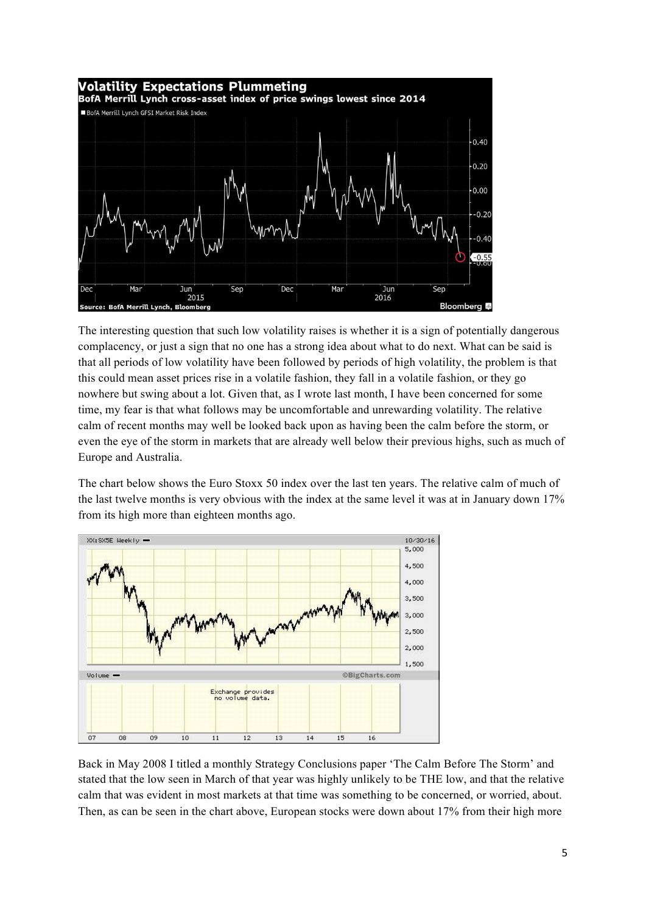

The interesting question that such low volatility raises is whether it is a sign of potentially dangerous complacency, or just a sign that no one has a strong idea about what to do next. What can be said is that all periods of low volatility have been followed by periods of high volatility, the problem is that this could mean asset prices rise in a volatile fashion, they fall in a volatile fashion, or they go nowhere but swing about a lot. Given that, as I wrote last month, I have been concerned for some time, my fear is that what follows may be uncomfortable and unrewarding volatility. The relative calm of recent months may well be looked back upon as having been the calm before the storm, or even the eye of the storm in markets that are already well below their previous highs, such as much of Europe and Australia.

The chart below shows the Euro Stoxx 50 index over the last ten years. The relative calm of much of the last twelve months is very obvious with the index at the same level it was at in January down 17% from its high more than eighteen months ago.



Back in May 2008 I titled a monthly Strategy Conclusions paper 'The Calm Before The Storm' and stated that the low seen in March of that year was highly unlikely to be THE low, and that the relative calm that was evident in most markets at that time was something to be concerned, or worried, about. Then, as can be seen in the chart above, European stocks were down about 17% from their high more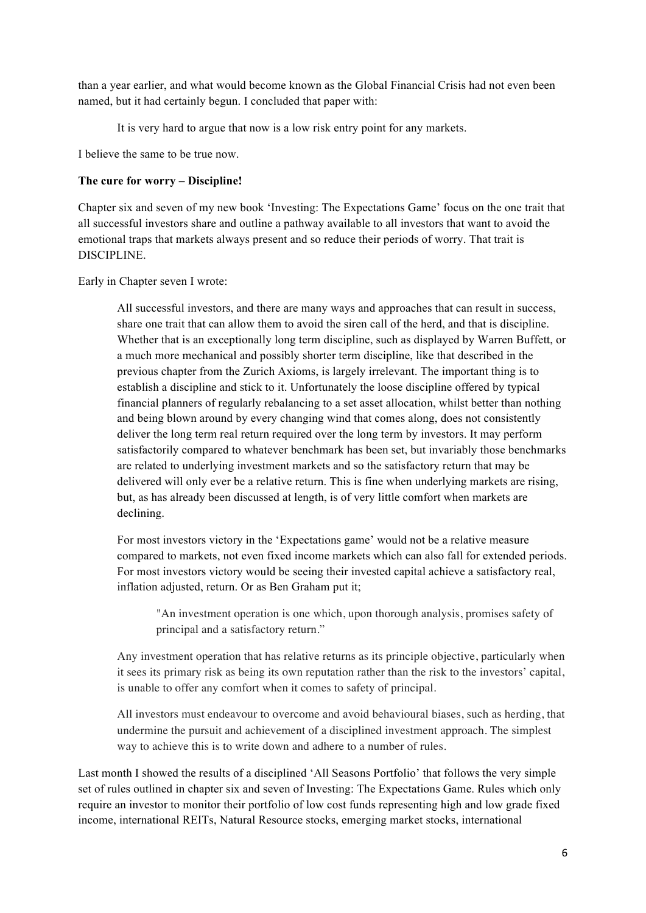than a year earlier, and what would become known as the Global Financial Crisis had not even been named, but it had certainly begun. I concluded that paper with:

It is very hard to argue that now is a low risk entry point for any markets.

I believe the same to be true now.

## **The cure for worry – Discipline!**

Chapter six and seven of my new book 'Investing: The Expectations Game' focus on the one trait that all successful investors share and outline a pathway available to all investors that want to avoid the emotional traps that markets always present and so reduce their periods of worry. That trait is DISCIPLINE.

Early in Chapter seven I wrote:

All successful investors, and there are many ways and approaches that can result in success, share one trait that can allow them to avoid the siren call of the herd, and that is discipline. Whether that is an exceptionally long term discipline, such as displayed by Warren Buffett, or a much more mechanical and possibly shorter term discipline, like that described in the previous chapter from the Zurich Axioms, is largely irrelevant. The important thing is to establish a discipline and stick to it. Unfortunately the loose discipline offered by typical financial planners of regularly rebalancing to a set asset allocation, whilst better than nothing and being blown around by every changing wind that comes along, does not consistently deliver the long term real return required over the long term by investors. It may perform satisfactorily compared to whatever benchmark has been set, but invariably those benchmarks are related to underlying investment markets and so the satisfactory return that may be delivered will only ever be a relative return. This is fine when underlying markets are rising, but, as has already been discussed at length, is of very little comfort when markets are declining.

For most investors victory in the 'Expectations game' would not be a relative measure compared to markets, not even fixed income markets which can also fall for extended periods. For most investors victory would be seeing their invested capital achieve a satisfactory real, inflation adjusted, return. Or as Ben Graham put it;

"An investment operation is one which, upon thorough analysis, promises safety of principal and a satisfactory return."

Any investment operation that has relative returns as its principle objective, particularly when it sees its primary risk as being its own reputation rather than the risk to the investors' capital, is unable to offer any comfort when it comes to safety of principal.

All investors must endeavour to overcome and avoid behavioural biases, such as herding, that undermine the pursuit and achievement of a disciplined investment approach. The simplest way to achieve this is to write down and adhere to a number of rules.

Last month I showed the results of a disciplined 'All Seasons Portfolio' that follows the very simple set of rules outlined in chapter six and seven of Investing: The Expectations Game. Rules which only require an investor to monitor their portfolio of low cost funds representing high and low grade fixed income, international REITs, Natural Resource stocks, emerging market stocks, international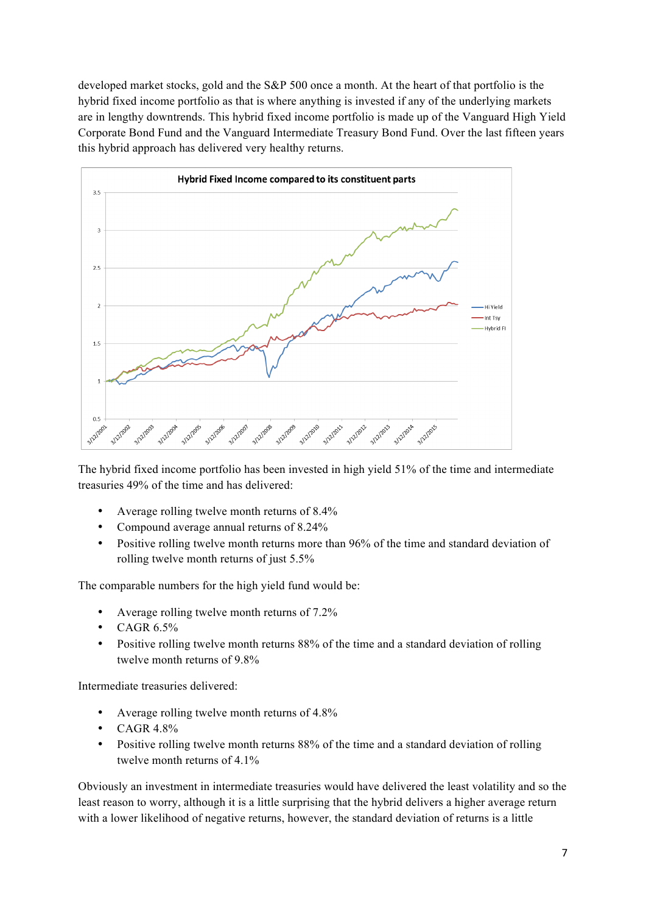developed market stocks, gold and the S&P 500 once a month. At the heart of that portfolio is the hybrid fixed income portfolio as that is where anything is invested if any of the underlying markets are in lengthy downtrends. This hybrid fixed income portfolio is made up of the Vanguard High Yield Corporate Bond Fund and the Vanguard Intermediate Treasury Bond Fund. Over the last fifteen years this hybrid approach has delivered very healthy returns.



The hybrid fixed income portfolio has been invested in high yield 51% of the time and intermediate treasuries 49% of the time and has delivered:

- Average rolling twelve month returns of 8.4%
- Compound average annual returns of 8.24%
- Positive rolling twelve month returns more than 96% of the time and standard deviation of rolling twelve month returns of just 5.5%

The comparable numbers for the high yield fund would be:

- Average rolling twelve month returns of 7.2%
- $\bullet$  CAGR 6.5%
- Positive rolling twelve month returns 88% of the time and a standard deviation of rolling twelve month returns of 9.8%

Intermediate treasuries delivered:

- Average rolling twelve month returns of 4.8%
- $\bullet$  CAGR 4.8%
- Positive rolling twelve month returns 88% of the time and a standard deviation of rolling twelve month returns of 4.1%

Obviously an investment in intermediate treasuries would have delivered the least volatility and so the least reason to worry, although it is a little surprising that the hybrid delivers a higher average return with a lower likelihood of negative returns, however, the standard deviation of returns is a little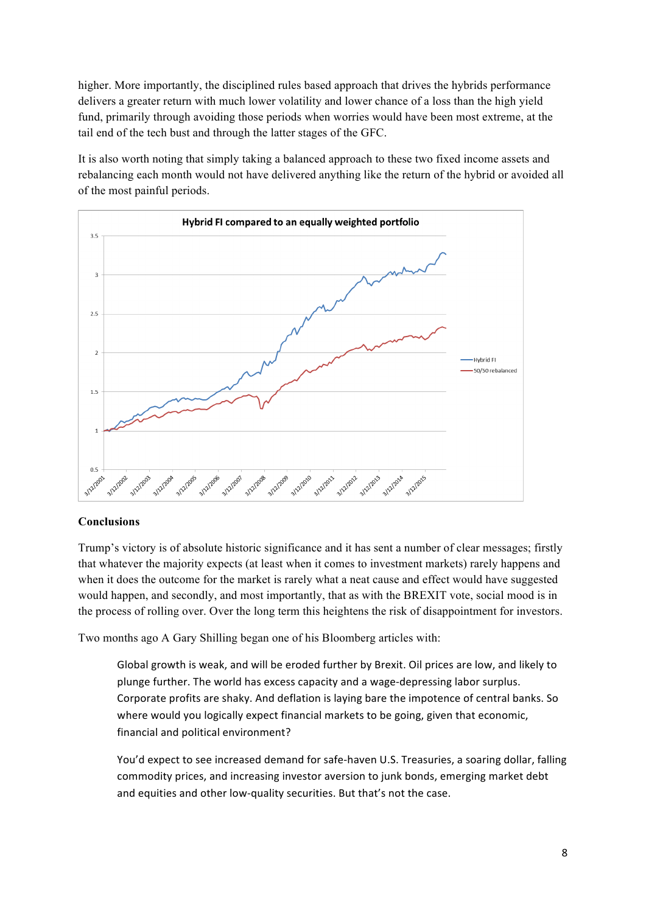higher. More importantly, the disciplined rules based approach that drives the hybrids performance delivers a greater return with much lower volatility and lower chance of a loss than the high yield fund, primarily through avoiding those periods when worries would have been most extreme, at the tail end of the tech bust and through the latter stages of the GFC.

It is also worth noting that simply taking a balanced approach to these two fixed income assets and rebalancing each month would not have delivered anything like the return of the hybrid or avoided all of the most painful periods.



## **Conclusions**

Trump's victory is of absolute historic significance and it has sent a number of clear messages; firstly that whatever the majority expects (at least when it comes to investment markets) rarely happens and when it does the outcome for the market is rarely what a neat cause and effect would have suggested would happen, and secondly, and most importantly, that as with the BREXIT vote, social mood is in the process of rolling over. Over the long term this heightens the risk of disappointment for investors.

Two months ago A Gary Shilling began one of his Bloomberg articles with:

Global growth is weak, and will be eroded further by Brexit. Oil prices are low, and likely to plunge further. The world has excess capacity and a wage-depressing labor surplus. Corporate profits are shaky. And deflation is laying bare the impotence of central banks. So where would you logically expect financial markets to be going, given that economic, financial and political environment?

You'd expect to see increased demand for safe-haven U.S. Treasuries, a soaring dollar, falling commodity prices, and increasing investor aversion to junk bonds, emerging market debt and equities and other low-quality securities. But that's not the case.